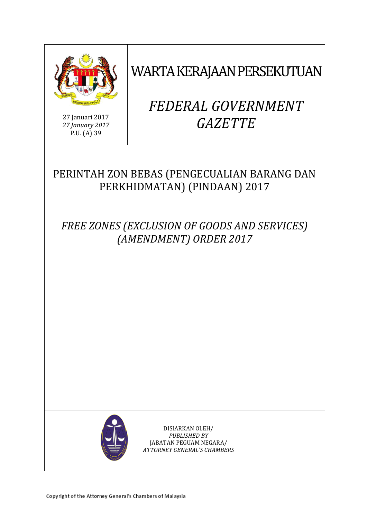

WARTA KERAJAAN PERSEKUTUAN

27 Januari 2017 *27 January 2017* P.U. (A) 39

# *FEDERAL GOVERNMENT GAZETTE*

## PERINTAH ZON BEBAS (PENGECUALIAN BARANG DAN PERKHIDMATAN) (PINDAAN) 2017

*FREE ZONES (EXCLUSION OF GOODS AND SERVICES) (AMENDMENT) ORDER 2017*



DISIARKAN OLEH/ *PUBLISHED BY* JABATAN PEGUAM NEGARA/ *ATTORNEY GENERAL'S CHAMBERS*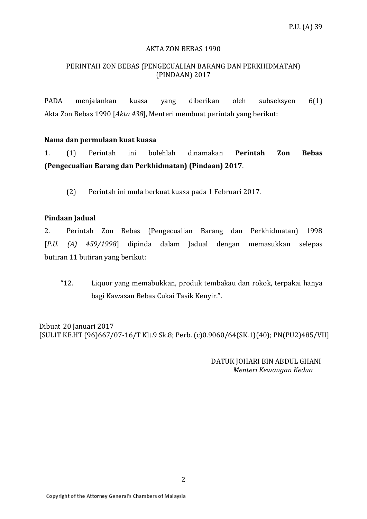#### AKTA ZON BEBAS 1990

### PERINTAH ZON BEBAS (PENGECUALIAN BARANG DAN PERKHIDMATAN) (PINDAAN) 2017

PADA menjalankan kuasa yang diberikan oleh subseksyen 6(1) Akta Zon Bebas 1990 [*Akta 438*], Menteri membuat perintah yang berikut:

#### **Nama dan permulaan kuat kuasa**

1. (1) Perintah ini bolehlah dinamakan **Perintah Zon Bebas (Pengecualian Barang dan Perkhidmatan) (Pindaan) 2017**.

(2) Perintah ini mula berkuat kuasa pada 1 Februari 2017.

#### **Pindaan Jadual**

2. Perintah Zon Bebas (Pengecualian Barang dan Perkhidmatan) 1998 [*P.U. (A) 459/1998*] dipinda dalam Jadual dengan memasukkan selepas butiran 11 butiran yang berikut:

"12. Liquor yang memabukkan, produk tembakau dan rokok, terpakai hanya bagi Kawasan Bebas Cukai Tasik Kenyir.".

Dibuat 20 Januari 2017 [SULIT KE.HT (96)667/07-16/T Klt.9 Sk.8; Perb. (c)0.9060/64(SK.1)(40); PN(PU2)485/VII]

> DATUK JOHARI BIN ABDUL GHANI *Menteri Kewangan Kedua*